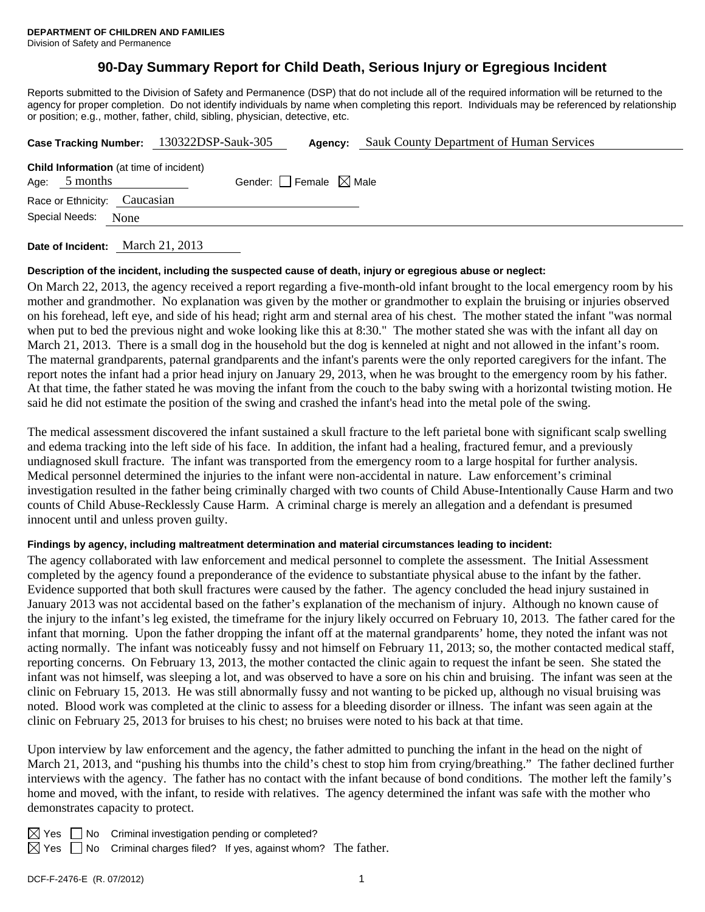# **90-Day Summary Report for Child Death, Serious Injury or Egregious Incident**

Reports submitted to the Division of Safety and Permanence (DSP) that do not include all of the required information will be returned to the agency for proper completion. Do not identify individuals by name when completing this report. Individuals may be referenced by relationship or position; e.g., mother, father, child, sibling, physician, detective, etc.

| Case Tracking Number: 130322DSP-Sauk-305 |                     |                                                | Agency:                         | Sauk County Department of Human Services |  |  |
|------------------------------------------|---------------------|------------------------------------------------|---------------------------------|------------------------------------------|--|--|
|                                          | Age: $5$ months     | <b>Child Information</b> (at time of incident) | Gender: Female $\boxtimes$ Male |                                          |  |  |
|                                          |                     | Race or Ethnicity: Caucasian                   |                                 |                                          |  |  |
|                                          | Special Needs: None |                                                |                                 |                                          |  |  |
|                                          |                     |                                                |                                 |                                          |  |  |

**Date of Incident:** March 21, 2013

#### **Description of the incident, including the suspected cause of death, injury or egregious abuse or neglect:**

On March 22, 2013, the agency received a report regarding a five-month-old infant brought to the local emergency room by his mother and grandmother. No explanation was given by the mother or grandmother to explain the bruising or injuries observed on his forehead, left eye, and side of his head; right arm and sternal area of his chest. The mother stated the infant "was normal when put to bed the previous night and woke looking like this at 8:30." The mother stated she was with the infant all day on March 21, 2013. There is a small dog in the household but the dog is kenneled at night and not allowed in the infant's room. The maternal grandparents, paternal grandparents and the infant's parents were the only reported caregivers for the infant. The report notes the infant had a prior head injury on January 29, 2013, when he was brought to the emergency room by his father. At that time, the father stated he was moving the infant from the couch to the baby swing with a horizontal twisting motion. He said he did not estimate the position of the swing and crashed the infant's head into the metal pole of the swing.

The medical assessment discovered the infant sustained a skull fracture to the left parietal bone with significant scalp swelling and edema tracking into the left side of his face. In addition, the infant had a healing, fractured femur, and a previously undiagnosed skull fracture. The infant was transported from the emergency room to a large hospital for further analysis. Medical personnel determined the injuries to the infant were non-accidental in nature. Law enforcement's criminal investigation resulted in the father being criminally charged with two counts of Child Abuse-Intentionally Cause Harm and two counts of Child Abuse-Recklessly Cause Harm. A criminal charge is merely an allegation and a defendant is presumed innocent until and unless proven guilty.

## **Findings by agency, including maltreatment determination and material circumstances leading to incident:**

The agency collaborated with law enforcement and medical personnel to complete the assessment. The Initial Assessment completed by the agency found a preponderance of the evidence to substantiate physical abuse to the infant by the father. Evidence supported that both skull fractures were caused by the father. The agency concluded the head injury sustained in January 2013 was not accidental based on the father's explanation of the mechanism of injury. Although no known cause of the injury to the infant's leg existed, the timeframe for the injury likely occurred on February 10, 2013. The father cared for the infant that morning. Upon the father dropping the infant off at the maternal grandparents' home, they noted the infant was not acting normally. The infant was noticeably fussy and not himself on February 11, 2013; so, the mother contacted medical staff, reporting concerns. On February 13, 2013, the mother contacted the clinic again to request the infant be seen. She stated the infant was not himself, was sleeping a lot, and was observed to have a sore on his chin and bruising. The infant was seen at the clinic on February 15, 2013. He was still abnormally fussy and not wanting to be picked up, although no visual bruising was noted. Blood work was completed at the clinic to assess for a bleeding disorder or illness. The infant was seen again at the clinic on February 25, 2013 for bruises to his chest; no bruises were noted to his back at that time.

Upon interview by law enforcement and the agency, the father admitted to punching the infant in the head on the night of March 21, 2013, and "pushing his thumbs into the child's chest to stop him from crying/breathing." The father declined further interviews with the agency. The father has no contact with the infant because of bond conditions. The mother left the family's home and moved, with the infant, to reside with relatives. The agency determined the infant was safe with the mother who demonstrates capacity to protect.

 $\boxtimes$  Yes  $\Box$  No Criminal investigation pending or completed?

 $\boxtimes$  Yes  $\Box$  No Criminal charges filed? If yes, against whom? The father.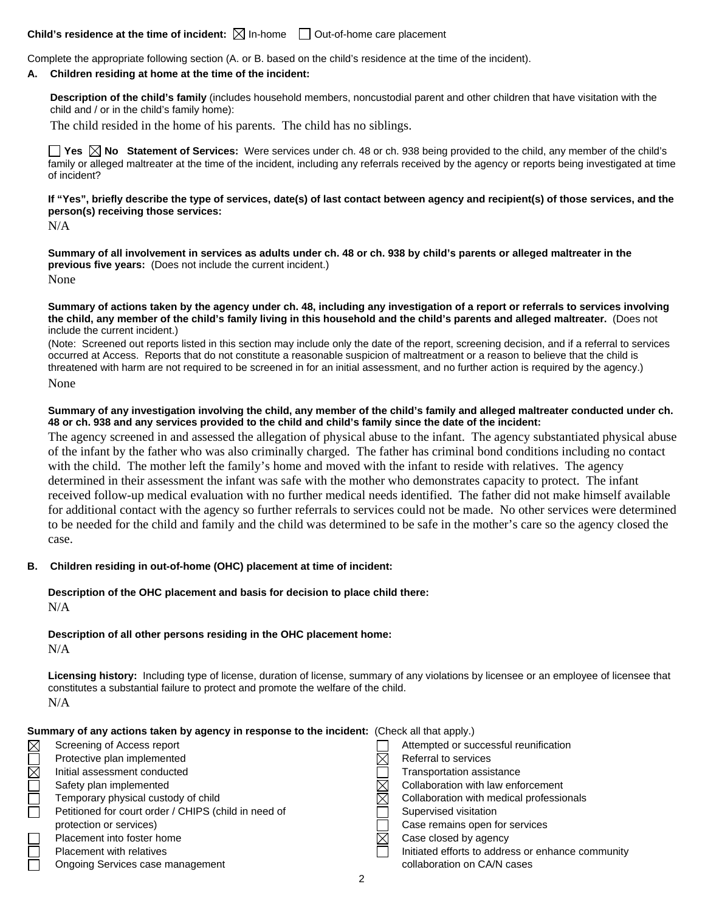# **Child's residence at the time of incident:**  $\boxtimes$  In-home  $\Box$  Out-of-home care placement

Complete the appropriate following section (A. or B. based on the child's residence at the time of the incident).

#### **A. Children residing at home at the time of the incident:**

**Description of the child's family** (includes household members, noncustodial parent and other children that have visitation with the child and / or in the child's family home):

The child resided in the home of his parents. The child has no siblings.

■ Yes **No** Statement of Services: Were services under ch. 48 or ch. 938 being provided to the child, any member of the child's family or alleged maltreater at the time of the incident, including any referrals received by the agency or reports being investigated at time of incident?

**If "Yes", briefly describe the type of services, date(s) of last contact between agency and recipient(s) of those services, and the person(s) receiving those services:** 

N/A

**Summary of all involvement in services as adults under ch. 48 or ch. 938 by child's parents or alleged maltreater in the previous five years:** (Does not include the current incident.) None

**Summary of actions taken by the agency under ch. 48, including any investigation of a report or referrals to services involving the child, any member of the child's family living in this household and the child's parents and alleged maltreater.** (Does not include the current incident.)

(Note: Screened out reports listed in this section may include only the date of the report, screening decision, and if a referral to services occurred at Access. Reports that do not constitute a reasonable suspicion of maltreatment or a reason to believe that the child is threatened with harm are not required to be screened in for an initial assessment, and no further action is required by the agency.) None

#### **Summary of any investigation involving the child, any member of the child's family and alleged maltreater conducted under ch. 48 or ch. 938 and any services provided to the child and child's family since the date of the incident:**

The agency screened in and assessed the allegation of physical abuse to the infant. The agency substantiated physical abuse of the infant by the father who was also criminally charged. The father has criminal bond conditions including no contact with the child. The mother left the family's home and moved with the infant to reside with relatives. The agency determined in their assessment the infant was safe with the mother who demonstrates capacity to protect. The infant received follow-up medical evaluation with no further medical needs identified. The father did not make himself available for additional contact with the agency so further referrals to services could not be made. No other services were determined to be needed for the child and family and the child was determined to be safe in the mother's care so the agency closed the case.

## **B. Children residing in out-of-home (OHC) placement at time of incident:**

## **Description of the OHC placement and basis for decision to place child there:** N/A

**Description of all other persons residing in the OHC placement home:** N/A

**Licensing history:** Including type of license, duration of license, summary of any violations by licensee or an employee of licensee that constitutes a substantial failure to protect and promote the welfare of the child. N/A

| Summary of any actions taken by agency in response to the incident: (Check all that apply.) |                                                      |  |                                                   |  |  |  |
|---------------------------------------------------------------------------------------------|------------------------------------------------------|--|---------------------------------------------------|--|--|--|
| $\boxtimes$                                                                                 | Screening of Access report                           |  | Attempted or successful reunification             |  |  |  |
| $\overline{\square}$                                                                        | Protective plan implemented                          |  | Referral to services                              |  |  |  |
|                                                                                             | Initial assessment conducted                         |  | Transportation assistance                         |  |  |  |
|                                                                                             | Safety plan implemented                              |  | Collaboration with law enforcement                |  |  |  |
|                                                                                             | Temporary physical custody of child                  |  | Collaboration with medical professionals          |  |  |  |
| $\Box$                                                                                      | Petitioned for court order / CHIPS (child in need of |  | Supervised visitation                             |  |  |  |
|                                                                                             | protection or services)                              |  | Case remains open for services                    |  |  |  |
| $\Box$                                                                                      | Placement into foster home                           |  | Case closed by agency                             |  |  |  |
|                                                                                             | Placement with relatives                             |  | Initiated efforts to address or enhance community |  |  |  |
|                                                                                             | Ongoing Services case management                     |  | collaboration on CA/N cases                       |  |  |  |
|                                                                                             |                                                      |  |                                                   |  |  |  |